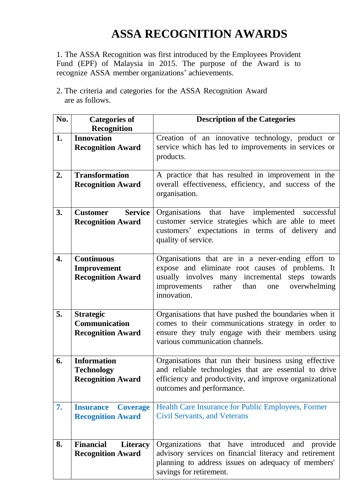## **ASSA RECOGNITION AWARDS**

1. The ASSA Recognition was first introduced by the Employees Provident Fund (EPF) of Malaysia in 2015. The purpose of the Award is to recognize ASSA member organizations' achievements.

2. The criteria and categories for the ASSA Recognition Award are as follows.

| Recognition<br><b>Innovation</b><br>Creation of an innovative technology, product or<br>1.<br>service which has led to improvements in services or<br><b>Recognition Award</b><br>products. |
|---------------------------------------------------------------------------------------------------------------------------------------------------------------------------------------------|
|                                                                                                                                                                                             |
|                                                                                                                                                                                             |
|                                                                                                                                                                                             |
| <b>Transformation</b><br>2.<br>A practice that has resulted in improvement in the                                                                                                           |
| overall effectiveness, efficiency, and success of the<br><b>Recognition Award</b>                                                                                                           |
| organisation.                                                                                                                                                                               |
| 3.<br><b>Service</b><br>Organisations that have implemented successful<br><b>Customer</b>                                                                                                   |
| customer service strategies which are able to meet<br><b>Recognition Award</b>                                                                                                              |
| customers' expectations in terms of delivery and<br>quality of service.                                                                                                                     |
|                                                                                                                                                                                             |
| Organisations that are in a never-ending effort to<br>4.<br><b>Continuous</b>                                                                                                               |
| expose and eliminate root causes of problems. It<br>Improvement                                                                                                                             |
| <b>Recognition Award</b><br>usually involves many incremental steps towards                                                                                                                 |
| improvements<br>rather<br>overwhelming<br>than<br>one<br>innovation.                                                                                                                        |
|                                                                                                                                                                                             |
| 5.<br>Organisations that have pushed the boundaries when it<br><b>Strategic</b>                                                                                                             |
| comes to their communications strategy in order to<br><b>Communication</b>                                                                                                                  |
| ensure they truly engage with their members using<br><b>Recognition Award</b><br>various communication channels.                                                                            |
|                                                                                                                                                                                             |
| Organisations that run their business using effective<br><b>Information</b><br>6.                                                                                                           |
| and reliable technologies that are essential to drive<br><b>Technology</b>                                                                                                                  |
| efficiency and productivity, and improve organizational<br><b>Recognition Award</b><br>outcomes and performance.                                                                            |
|                                                                                                                                                                                             |
| 7.<br>Health Care Insurance for Public Employees, Former<br><b>Insurance</b><br><b>Coverage</b>                                                                                             |
| <b>Civil Servants, and Veterans</b><br><b>Recognition Award</b>                                                                                                                             |
|                                                                                                                                                                                             |
| 8.<br>Organizations that have introduced<br><b>Financial</b><br><b>Literacy</b><br>and provide                                                                                              |
| advisory services on financial literacy and retirement<br><b>Recognition Award</b>                                                                                                          |
| planning to address issues on adequacy of members'<br>savings for retirement.                                                                                                               |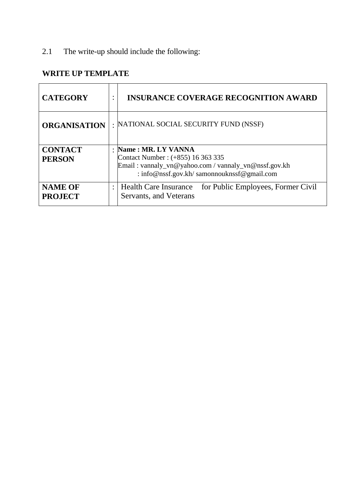2.1 The write-up should include the following:

## **WRITE UP TEMPLATE**

| <b>CATEGORY</b>                  | ٠              | <b>INSURANCE COVERAGE RECOGNITION AWARD</b>                                                                                                                   |
|----------------------------------|----------------|---------------------------------------------------------------------------------------------------------------------------------------------------------------|
| <b>ORGANISATION</b>              |                | : NATIONAL SOCIAL SECURITY FUND (NSSF)                                                                                                                        |
| <b>CONTACT</b><br><b>PERSON</b>  | $\bullet$      | Name: MR. LY VANNA<br>Contact Number: (+855) 16 363 335<br>Email: vannaly_vn@yahoo.com / vannaly_vn@nssf.gov.kh<br>: info@nssf.gov.kh/samonnouknssf@gmail.com |
| <b>NAME OF</b><br><b>PROJECT</b> | $\ddot{\cdot}$ | for Public Employees, Former Civil<br><b>Health Care Insurance</b><br>Servants, and Veterans                                                                  |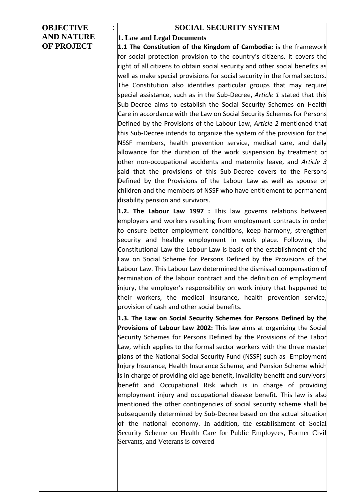| <b>OBJECTIVE</b>  | <b>SOCIAL SECURITY SYSTEM</b>                                                                                                    |
|-------------------|----------------------------------------------------------------------------------------------------------------------------------|
| <b>AND NATURE</b> | 1. Law and Legal Documents                                                                                                       |
| <b>OF PROJECT</b> | 1.1 The Constitution of the Kingdom of Cambodia: is the framework                                                                |
|                   | for social protection provision to the country's citizens. It covers the                                                         |
|                   | right of all citizens to obtain social security and other social benefits as                                                     |
|                   | well as make special provisions for social security in the formal sectors.                                                       |
|                   | The Constitution also identifies particular groups that may require                                                              |
|                   | special assistance, such as in the Sub-Decree, Article 1 stated that this                                                        |
|                   | Sub-Decree aims to establish the Social Security Schemes on Health                                                               |
|                   | Care in accordance with the Law on Social Security Schemes for Persons                                                           |
|                   | Defined by the Provisions of the Labour Law, Article 2 mentioned that                                                            |
|                   | this Sub-Decree intends to organize the system of the provision for the                                                          |
|                   | NSSF members, health prevention service, medical care, and daily                                                                 |
|                   | allowance for the duration of the work suspension by treatment or                                                                |
|                   | other non-occupational accidents and maternity leave, and Article 3                                                              |
|                   | said that the provisions of this Sub-Decree covers to the Persons                                                                |
|                   | Defined by the Provisions of the Labour Law as well as spouse or                                                                 |
|                   | children and the members of NSSF who have entitlement to permanent<br>disability pension and survivors.                          |
|                   |                                                                                                                                  |
|                   | 1.2. The Labour Law 1997 : This law governs relations between                                                                    |
|                   | employers and workers resulting from employment contracts in order                                                               |
|                   | to ensure better employment conditions, keep harmony, strengthen<br>security and healthy employment in work place. Following the |
|                   | Constitutional Law the Labour Law is basic of the establishment of the                                                           |
|                   | Law on Social Scheme for Persons Defined by the Provisions of the                                                                |
|                   | Labour Law. This Labour Law determined the dismissal compensation of                                                             |
|                   | termination of the labour contract and the definition of employment                                                              |
|                   | injury, the employer's responsibility on work injury that happened to                                                            |
|                   | their workers, the medical insurance, health prevention service,                                                                 |
|                   | provision of cash and other social benefits.                                                                                     |
|                   | 1.3. The Law on Social Security Schemes for Persons Defined by the                                                               |
|                   | Provisions of Labour Law 2002: This law aims at organizing the Social                                                            |
|                   | Security Schemes for Persons Defined by the Provisions of the Labor                                                              |
|                   | Law, which applies to the formal sector workers with the three master                                                            |
|                   | plans of the National Social Security Fund (NSSF) such as Employment                                                             |
|                   | Injury Insurance, Health Insurance Scheme, and Pension Scheme which                                                              |
|                   | is in charge of providing old age benefit, invalidity benefit and survivors'                                                     |
|                   | benefit and Occupational Risk which is in charge of providing                                                                    |
|                   | employment injury and occupational disease benefit. This law is also                                                             |
|                   | mentioned the other contingencies of social security scheme shall be                                                             |
|                   | subsequently determined by Sub-Decree based on the actual situation                                                              |
|                   | of the national economy. In addition, the establishment of Social                                                                |
|                   | Security Scheme on Health Care for Public Employees, Former Civil                                                                |
|                   | Servants, and Veterans is covered                                                                                                |
|                   |                                                                                                                                  |
|                   |                                                                                                                                  |